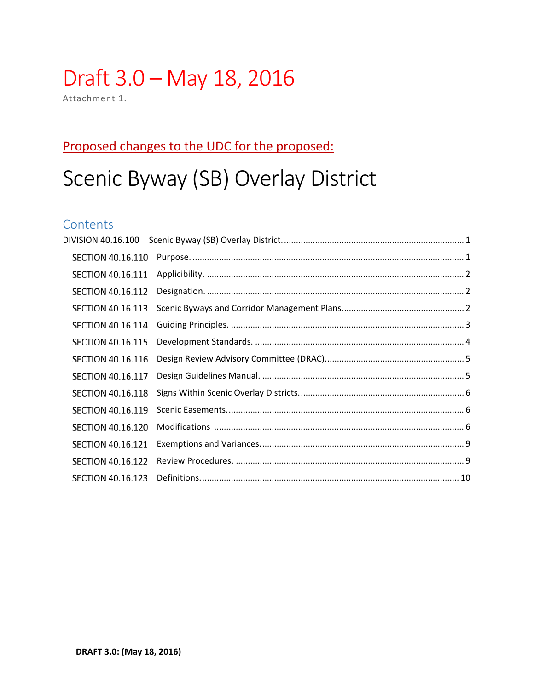# Draft 3.0 - May 18, 2016

Attachment 1.

## Proposed changes to the UDC for the proposed:

# Scenic Byway (SB) Overlay District

## Contents

| <b>SECTION 40.16.110</b> |  |
|--------------------------|--|
| <b>SECTION 40.16.111</b> |  |
| <b>SECTION 40.16.112</b> |  |
| <b>SECTION 40.16.113</b> |  |
| SECTION 40.16.114        |  |
| <b>SECTION 40.16.115</b> |  |
| <b>SECTION 40.16.116</b> |  |
| <b>SECTION 40.16.117</b> |  |
| <b>SECTION 40.16.118</b> |  |
| <b>SECTION 40.16.119</b> |  |
| <b>SECTION 40.16.120</b> |  |
| <b>SECTION 40.16.121</b> |  |
| <b>SECTION 40.16.122</b> |  |
| SECTION 40.16.123        |  |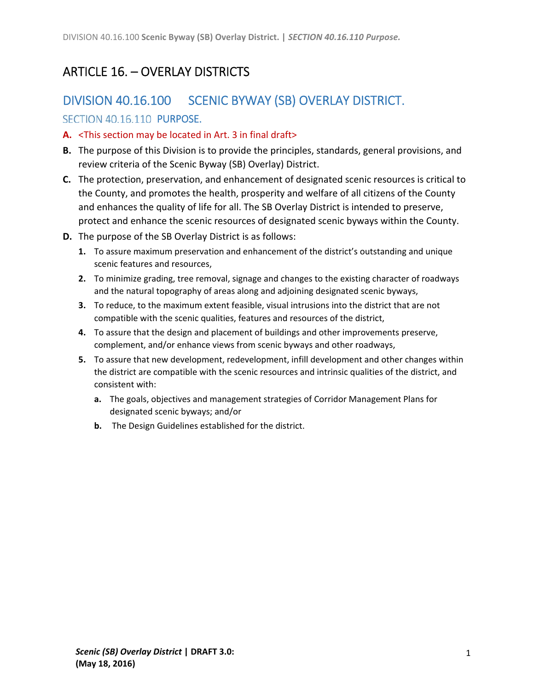# ARTICLE 16. – OVERLAY DISTRICTS

## DIVISION 40.16.100 SCENIC BYWAY (SB) OVERLAY DISTRICT.

#### SECTION 40.16.110 PURPOSE.

- **A.** <This section may be located in Art. 3 in final draft>
- **B.** The purpose of this Division is to provide the principles, standards, general provisions, and review criteria of the Scenic Byway (SB) Overlay) District.
- **C.** The protection, preservation, and enhancement of designated scenic resources is critical to the County, and promotes the health, prosperity and welfare of all citizens of the County and enhances the quality of life for all. The SB Overlay District is intended to preserve, protect and enhance the scenic resources of designated scenic byways within the County.
- **D.** The purpose of the SB Overlay District is as follows:
	- **1.** To assure maximum preservation and enhancement of the district's outstanding and unique scenic features and resources,
	- **2.** To minimize grading, tree removal, signage and changes to the existing character of roadways and the natural topography of areas along and adjoining designated scenic byways,
	- **3.** To reduce, to the maximum extent feasible, visual intrusions into the district that are not compatible with the scenic qualities, features and resources of the district,
	- **4.** To assure that the design and placement of buildings and other improvements preserve, complement, and/or enhance views from scenic byways and other roadways,
	- **5.** To assure that new development, redevelopment, infill development and other changes within the district are compatible with the scenic resources and intrinsic qualities of the district, and consistent with:
		- **a.** The goals, objectives and management strategies of Corridor Management Plans for designated scenic byways; and/or
		- **b.** The Design Guidelines established for the district.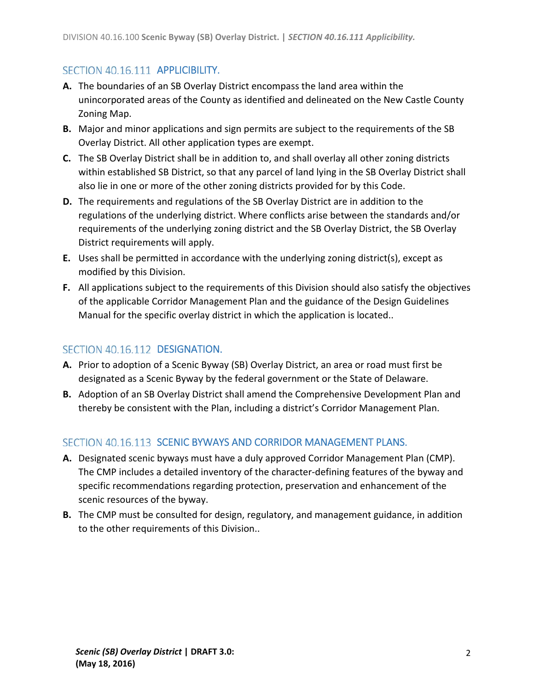#### SECTION 40.16.111 APPLICIBILITY.

- **A.** The boundaries of an SB Overlay District encompass the land area within the unincorporated areas of the County as identified and delineated on the New Castle County Zoning Map.
- **B.** Major and minor applications and sign permits are subject to the requirements of the SB Overlay District. All other application types are exempt.
- **C.** The SB Overlay District shall be in addition to, and shall overlay all other zoning districts within established SB District, so that any parcel of land lying in the SB Overlay District shall also lie in one or more of the other zoning districts provided for by this Code.
- **D.** The requirements and regulations of the SB Overlay District are in addition to the regulations of the underlying district. Where conflicts arise between the standards and/or requirements of the underlying zoning district and the SB Overlay District, the SB Overlay District requirements will apply.
- **E.** Uses shall be permitted in accordance with the underlying zoning district(s), except as modified by this Division.
- **F.** All applications subject to the requirements of this Division should also satisfy the objectives of the applicable Corridor Management Plan and the guidance of the Design Guidelines Manual for the specific overlay district in which the application is located..

#### SECTION 40.16.112 DESIGNATION.

- **A.** Prior to adoption of a Scenic Byway (SB) Overlay District, an area or road must first be designated as a Scenic Byway by the federal government or the State of Delaware.
- **B.** Adoption of an SB Overlay District shall amend the Comprehensive Development Plan and thereby be consistent with the Plan, including a district's Corridor Management Plan.

#### SECTION 40.16.113 SCENIC BYWAYS AND CORRIDOR MANAGEMENT PLANS.

- **A.** Designated scenic byways must have a duly approved Corridor Management Plan (CMP). The CMP includes a detailed inventory of the character‐defining features of the byway and specific recommendations regarding protection, preservation and enhancement of the scenic resources of the byway.
- **B.** The CMP must be consulted for design, regulatory, and management guidance, in addition to the other requirements of this Division..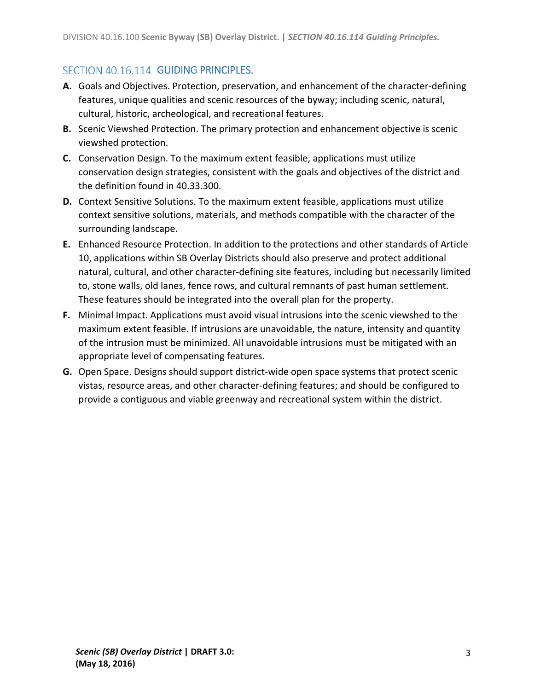### SECTION 40.16.114 GUIDING PRINCIPLES.

- **A.** Goals and Objectives. Protection, preservation, and enhancement of the character‐defining features, unique qualities and scenic resources of the byway; including scenic, natural, cultural, historic, archeological, and recreational features.
- **B.** Scenic Viewshed Protection. The primary protection and enhancement objective is scenic viewshed protection.
- **C.** Conservation Design. To the maximum extent feasible, applications must utilize conservation design strategies, consistent with the goals and objectives of the district and the definition found in 40.33.300.
- **D.** Context Sensitive Solutions. To the maximum extent feasible, applications must utilize context sensitive solutions, materials, and methods compatible with the character of the surrounding landscape.
- **E.** Enhanced Resource Protection. In addition to the protections and other standards of Article 10, applications within SB Overlay Districts should also preserve and protect additional natural, cultural, and other character‐defining site features, including but necessarily limited to, stone walls, old lanes, fence rows, and cultural remnants of past human settlement. These features should be integrated into the overall plan for the property.
- **F.** Minimal Impact. Applications must avoid visual intrusions into the scenic viewshed to the maximum extent feasible. If intrusions are unavoidable, the nature, intensity and quantity of the intrusion must be minimized. All unavoidable intrusions must be mitigated with an appropriate level of compensating features.
- **G.** Open Space. Designs should support district‐wide open space systems that protect scenic vistas, resource areas, and other character‐defining features; and should be configured to provide a contiguous and viable greenway and recreational system within the district.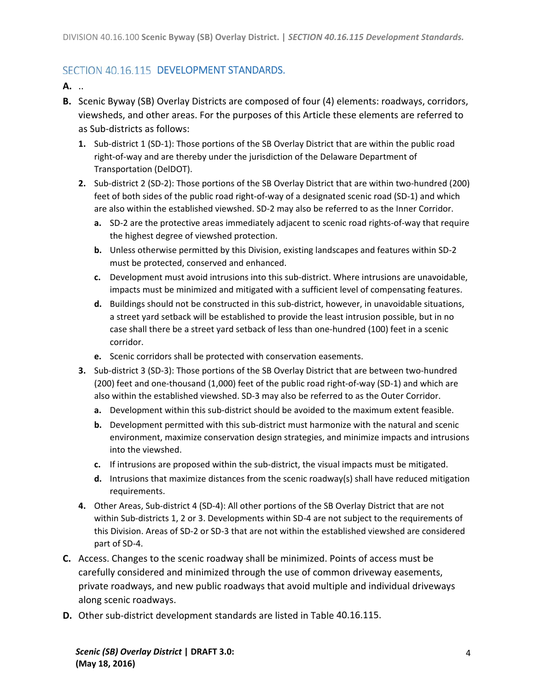### SECTION 40.16.115 DEVELOPMENT STANDARDS.

**A.** ..

- **B.** Scenic Byway (SB) Overlay Districts are composed of four (4) elements: roadways, corridors, viewsheds, and other areas. For the purposes of this Article these elements are referred to as Sub‐districts as follows:
	- 1. Sub-district 1 (SD-1): Those portions of the SB Overlay District that are within the public road right‐of‐way and are thereby under the jurisdiction of the Delaware Department of Transportation (DelDOT).
	- **2.** Sub‐district 2 (SD‐2): Those portions of the SB Overlay District that are within two‐hundred (200) feet of both sides of the public road right‐of‐way of a designated scenic road (SD‐1) and which are also within the established viewshed. SD‐2 may also be referred to as the Inner Corridor.
		- **a.** SD-2 are the protective areas immediately adjacent to scenic road rights-of-way that require the highest degree of viewshed protection.
		- **b.** Unless otherwise permitted by this Division, existing landscapes and features within SD‐2 must be protected, conserved and enhanced.
		- **c.** Development must avoid intrusions into this sub‐district. Where intrusions are unavoidable, impacts must be minimized and mitigated with a sufficient level of compensating features.
		- **d.** Buildings should not be constructed in this sub‐district, however, in unavoidable situations, a street yard setback will be established to provide the least intrusion possible, but in no case shall there be a street yard setback of less than one‐hundred (100) feet in a scenic corridor.
		- **e.** Scenic corridors shall be protected with conservation easements.
	- **3.** Sub-district 3 (SD-3): Those portions of the SB Overlay District that are between two-hundred (200) feet and one‐thousand (1,000) feet of the public road right‐of‐way (SD‐1) and which are also within the established viewshed. SD‐3 may also be referred to as the Outer Corridor.
		- **a.** Development within this sub-district should be avoided to the maximum extent feasible.
		- **b.** Development permitted with this sub-district must harmonize with the natural and scenic environment, maximize conservation design strategies, and minimize impacts and intrusions into the viewshed.
		- **c.** If intrusions are proposed within the sub-district, the visual impacts must be mitigated.
		- **d.** Intrusions that maximize distances from the scenic roadway(s) shall have reduced mitigation requirements.
	- **4.** Other Areas, Sub‐district 4 (SD‐4): All other portions of the SB Overlay District that are not within Sub-districts 1, 2 or 3. Developments within SD-4 are not subject to the requirements of this Division. Areas of SD‐2 or SD‐3 that are not within the established viewshed are considered part of SD‐4.
- **C.** Access. Changes to the scenic roadway shall be minimized. Points of access must be carefully considered and minimized through the use of common driveway easements, private roadways, and new public roadways that avoid multiple and individual driveways along scenic roadways.
- **D.** Other sub‐district development standards are listed in Table 40.16.115.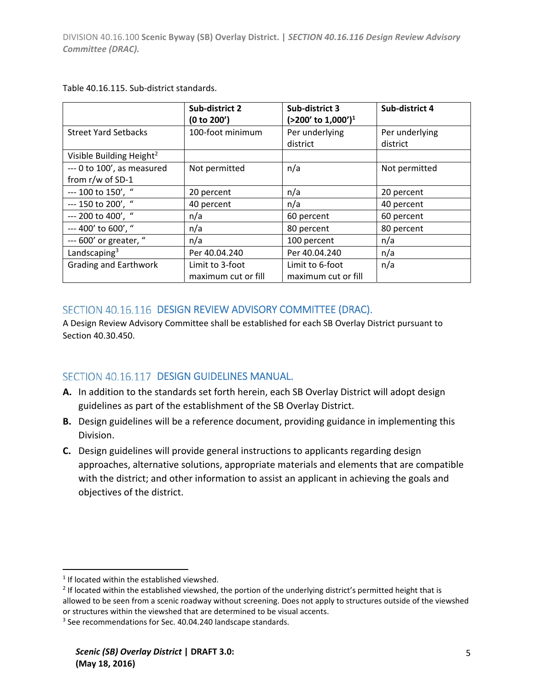|                                      | Sub-district 2<br>(0 to 200') | Sub-district 3<br>$(>200'$ to 1,000') <sup>1</sup> | Sub-district 4 |
|--------------------------------------|-------------------------------|----------------------------------------------------|----------------|
| <b>Street Yard Setbacks</b>          | 100-foot minimum              | Per underlying                                     | Per underlying |
|                                      |                               | district                                           | district       |
| Visible Building Height <sup>2</sup> |                               |                                                    |                |
| --- 0 to 100', as measured           | Not permitted                 | n/a                                                | Not permitted  |
| from r/w of SD-1                     |                               |                                                    |                |
| --- 100 to 150', "                   | 20 percent                    | n/a                                                | 20 percent     |
| --- 150 to 200', "                   | 40 percent                    | n/a                                                | 40 percent     |
| --- 200 to 400', "                   | n/a                           | 60 percent                                         | 60 percent     |
| --- 400' to 600', "                  | n/a                           | 80 percent                                         | 80 percent     |
| --- 600' or greater, "               | n/a                           | 100 percent                                        | n/a            |
| Landscaping $3$                      | Per 40.04.240                 | Per 40.04.240                                      | n/a            |
| <b>Grading and Earthwork</b>         | Limit to 3-foot               | Limit to 6-foot                                    | n/a            |
|                                      | maximum cut or fill           | maximum cut or fill                                |                |

Table 40.16.115. Sub‐district standards.

#### SECTION 40.16.116 DESIGN REVIEW ADVISORY COMMITTEE (DRAC).

A Design Review Advisory Committee shall be established for each SB Overlay District pursuant to Section 40.30.450.

#### SECTION 40.16.117 DESIGN GUIDELINES MANUAL.

- **A.** In addition to the standards set forth herein, each SB Overlay District will adopt design guidelines as part of the establishment of the SB Overlay District.
- **B.** Design guidelines will be a reference document, providing guidance in implementing this Division.
- **C.** Design guidelines will provide general instructions to applicants regarding design approaches, alternative solutions, appropriate materials and elements that are compatible with the district; and other information to assist an applicant in achieving the goals and objectives of the district.

 $1$  If located within the established viewshed.

<sup>&</sup>lt;sup>2</sup> If located within the established viewshed, the portion of the underlying district's permitted height that is allowed to be seen from a scenic roadway without screening. Does not apply to structures outside of the viewshed or structures within the viewshed that are determined to be visual accents.

<sup>&</sup>lt;sup>3</sup> See recommendations for Sec. 40.04.240 landscape standards.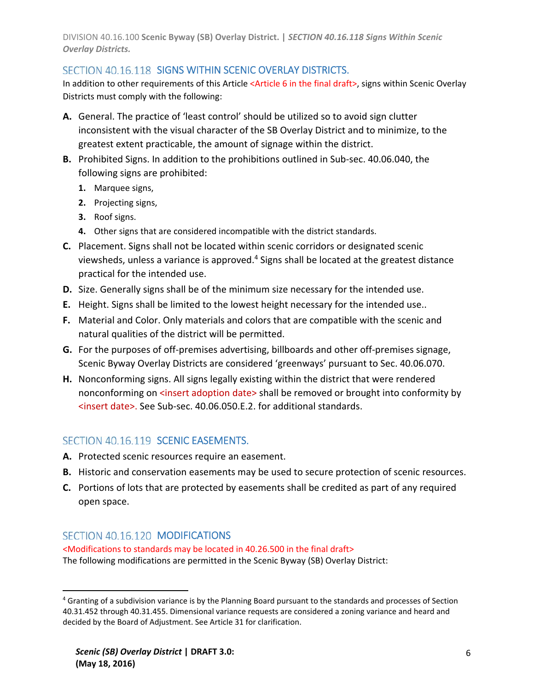DIVISION 40.16.100 **Scenic Byway (SB) Overlay District. |** *SECTION 40.16.118 Signs Within Scenic Overlay Districts.*

#### SECTION 40.16.118 SIGNS WITHIN SCENIC OVERLAY DISTRICTS.

In addition to other requirements of this Article <Article 6 in the final draft>, signs within Scenic Overlay Districts must comply with the following:

- **A.** General. The practice of 'least control' should be utilized so to avoid sign clutter inconsistent with the visual character of the SB Overlay District and to minimize, to the greatest extent practicable, the amount of signage within the district.
- **B.** Prohibited Signs. In addition to the prohibitions outlined in Sub‐sec. 40.06.040, the following signs are prohibited:
	- **1.** Marquee signs,
	- **2.** Projecting signs,
	- **3.** Roof signs.
	- **4.** Other signs that are considered incompatible with the district standards.
- **C.** Placement. Signs shall not be located within scenic corridors or designated scenic viewsheds, unless a variance is approved.4 Signs shall be located at the greatest distance practical for the intended use.
- **D.** Size. Generally signs shall be of the minimum size necessary for the intended use.
- **E.** Height. Signs shall be limited to the lowest height necessary for the intended use..
- **F.** Material and Color. Only materials and colors that are compatible with the scenic and natural qualities of the district will be permitted.
- **G.** For the purposes of off‐premises advertising, billboards and other off‐premises signage, Scenic Byway Overlay Districts are considered 'greenways' pursuant to Sec. 40.06.070.
- **H.** Nonconforming signs. All signs legally existing within the district that were rendered nonconforming on <insert adoption date> shall be removed or brought into conformity by <insert date>. See Sub‐sec. 40.06.050.E.2. for additional standards.

#### SECTION 40.16.119 SCENIC EASEMENTS.

- **A.** Protected scenic resources require an easement.
- **B.** Historic and conservation easements may be used to secure protection of scenic resources.
- **C.** Portions of lots that are protected by easements shall be credited as part of any required open space.

#### SECTION 40.16.120 MODIFICATIONS

<Modifications to standards may be located in 40.26.500 in the final draft> The following modifications are permitted in the Scenic Byway (SB) Overlay District:

<sup>&</sup>lt;sup>4</sup> Granting of a subdivision variance is by the Planning Board pursuant to the standards and processes of Section 40.31.452 through 40.31.455. Dimensional variance requests are considered a zoning variance and heard and decided by the Board of Adjustment. See Article 31 for clarification.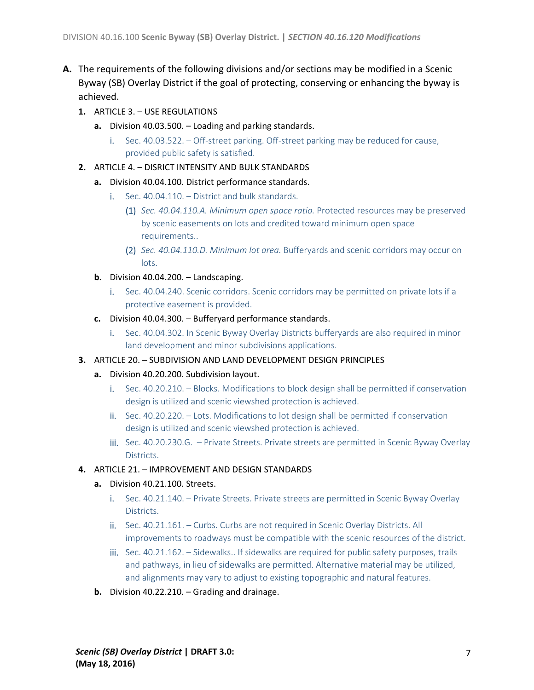- **A.** The requirements of the following divisions and/or sections may be modified in a Scenic Byway (SB) Overlay District if the goal of protecting, conserving or enhancing the byway is achieved.
	- **1.** ARTICLE 3. USE REGULATIONS
		- **a.** Division 40.03.500. Loading and parking standards.
			- i. Sec. 40.03.522. Off-street parking. Off-street parking may be reduced for cause, provided public safety is satisfied.
	- **2.** ARTICLE 4. DISRICT INTENSITY AND BULK STANDARDS
		- **a.** Division 40.04.100. District performance standards.
			- i. Sec. 40.04.110. District and bulk standards.
				- (1) *Sec. 40.04.110.A. Minimum open space ratio.* Protected resources may be preserved by scenic easements on lots and credited toward minimum open space requirements..
				- (2) *Sec. 40.04.110.D. Minimum lot area.* Bufferyards and scenic corridors may occur on lots.
		- **b.** Division 40.04.200. Landscaping.
			- i. Sec. 40.04.240. Scenic corridors. Scenic corridors may be permitted on private lots if a protective easement is provided.
		- **c.** Division 40.04.300. Bufferyard performance standards.
			- i. Sec. 40.04.302. In Scenic Byway Overlay Districts bufferyards are also required in minor land development and minor subdivisions applications.
	- **3.** ARTICLE 20. SUBDIVISION AND LAND DEVELOPMENT DESIGN PRINCIPLES
		- **a.** Division 40.20.200. Subdivision layout.
			- i. Sec. 40.20.210. Blocks. Modifications to block design shall be permitted if conservation design is utilized and scenic viewshed protection is achieved.
			- ii. Sec. 40.20.220. Lots. Modifications to lot design shall be permitted if conservation design is utilized and scenic viewshed protection is achieved.
			- iii. Sec. 40.20.230.G. Private Streets. Private streets are permitted in Scenic Byway Overlay Districts.
	- **4.** ARTICLE 21. IMPROVEMENT AND DESIGN STANDARDS
		- **a.** Division 40.21.100. Streets.
			- i. Sec. 40.21.140. Private Streets. Private streets are permitted in Scenic Byway Overlay Districts.
			- ii. Sec. 40.21.161. Curbs. Curbs are not required in Scenic Overlay Districts. All improvements to roadways must be compatible with the scenic resources of the district.
			- iii. Sec. 40.21.162. Sidewalks.. If sidewalks are required for public safety purposes, trails and pathways, in lieu of sidewalks are permitted. Alternative material may be utilized, and alignments may vary to adjust to existing topographic and natural features.
		- **b.** Division 40.22.210. Grading and drainage.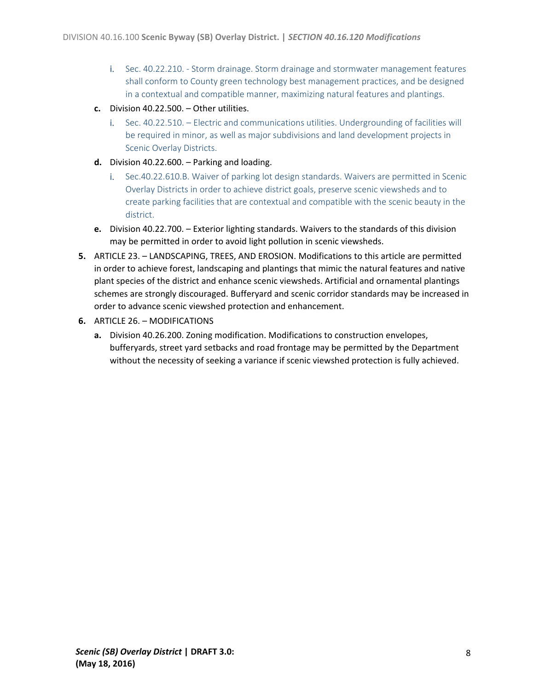- i. Sec. 40.22.210. ‐ Storm drainage. Storm drainage and stormwater management features shall conform to County green technology best management practices, and be designed in a contextual and compatible manner, maximizing natural features and plantings.
- **c.** Division 40.22.500. Other utilities.
	- i. Sec. 40.22.510. Electric and communications utilities. Undergrounding of facilities will be required in minor, as well as major subdivisions and land development projects in Scenic Overlay Districts.
- **d.** Division 40.22.600. Parking and loading.
	- i. Sec.40.22.610.B. Waiver of parking lot design standards. Waivers are permitted in Scenic Overlay Districts in order to achieve district goals, preserve scenic viewsheds and to create parking facilities that are contextual and compatible with the scenic beauty in the district.
- **e.** Division 40.22.700. Exterior lighting standards. Waivers to the standards of this division may be permitted in order to avoid light pollution in scenic viewsheds.
- **5.** ARTICLE 23. LANDSCAPING, TREES, AND EROSION. Modifications to this article are permitted in order to achieve forest, landscaping and plantings that mimic the natural features and native plant species of the district and enhance scenic viewsheds. Artificial and ornamental plantings schemes are strongly discouraged. Bufferyard and scenic corridor standards may be increased in order to advance scenic viewshed protection and enhancement.
- **6.** ARTICLE 26. MODIFICATIONS
	- **a.** Division 40.26.200. Zoning modification. Modifications to construction envelopes, bufferyards, street yard setbacks and road frontage may be permitted by the Department without the necessity of seeking a variance if scenic viewshed protection is fully achieved.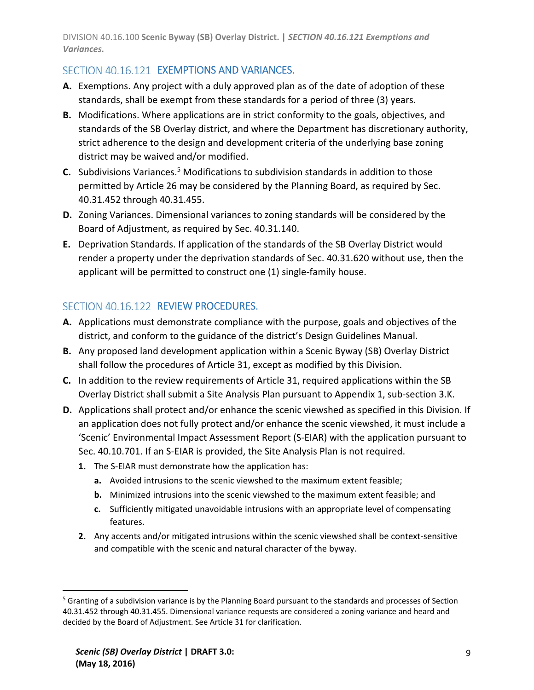DIVISION 40.16.100 **Scenic Byway (SB) Overlay District. |** *SECTION 40.16.121 Exemptions and Variances.*

### SECTION 40.16.121 EXEMPTIONS AND VARIANCES.

- **A.** Exemptions. Any project with a duly approved plan as of the date of adoption of these standards, shall be exempt from these standards for a period of three (3) years.
- **B.** Modifications. Where applications are in strict conformity to the goals, objectives, and standards of the SB Overlay district, and where the Department has discretionary authority, strict adherence to the design and development criteria of the underlying base zoning district may be waived and/or modified.
- **C.** Subdivisions Variances.<sup>5</sup> Modifications to subdivision standards in addition to those permitted by Article 26 may be considered by the Planning Board, as required by Sec. 40.31.452 through 40.31.455.
- **D.** Zoning Variances. Dimensional variances to zoning standards will be considered by the Board of Adjustment, as required by Sec. 40.31.140.
- **E.** Deprivation Standards. If application of the standards of the SB Overlay District would render a property under the deprivation standards of Sec. 40.31.620 without use, then the applicant will be permitted to construct one (1) single‐family house.

#### SECTION 40.16.122 REVIEW PROCEDURES.

- **A.** Applications must demonstrate compliance with the purpose, goals and objectives of the district, and conform to the guidance of the district's Design Guidelines Manual.
- **B.** Any proposed land development application within a Scenic Byway (SB) Overlay District shall follow the procedures of Article 31, except as modified by this Division.
- **C.** In addition to the review requirements of Article 31, required applications within the SB Overlay District shall submit a Site Analysis Plan pursuant to Appendix 1, sub‐section 3.K.
- **D.** Applications shall protect and/or enhance the scenic viewshed as specified in this Division. If an application does not fully protect and/or enhance the scenic viewshed, it must include a 'Scenic' Environmental Impact Assessment Report (S‐EIAR) with the application pursuant to Sec. 40.10.701. If an S-EIAR is provided, the Site Analysis Plan is not required.
	- **1.** The S‐EIAR must demonstrate how the application has:
		- **a.** Avoided intrusions to the scenic viewshed to the maximum extent feasible;
		- **b.** Minimized intrusions into the scenic viewshed to the maximum extent feasible; and
		- **c.** Sufficiently mitigated unavoidable intrusions with an appropriate level of compensating features.
	- **2.** Any accents and/or mitigated intrusions within the scenic viewshed shall be context‐sensitive and compatible with the scenic and natural character of the byway.

<sup>&</sup>lt;sup>5</sup> Granting of a subdivision variance is by the Planning Board pursuant to the standards and processes of Section 40.31.452 through 40.31.455. Dimensional variance requests are considered a zoning variance and heard and decided by the Board of Adjustment. See Article 31 for clarification.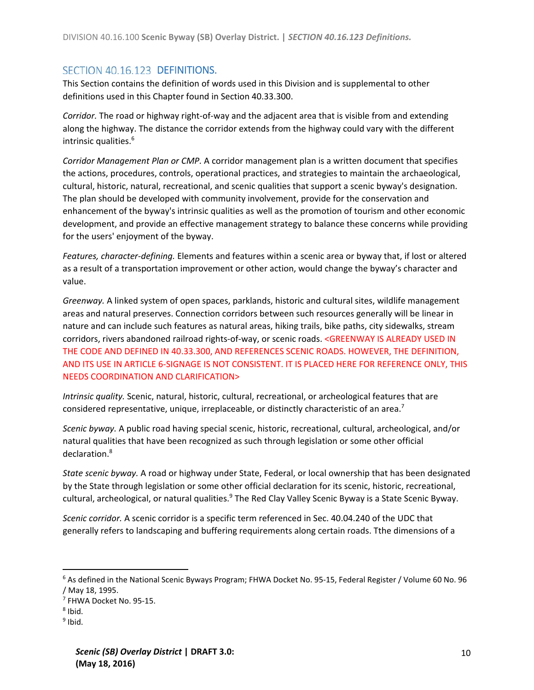#### SECTION 40.16.123 DEFINITIONS.

This Section contains the definition of words used in this Division and is supplemental to other definitions used in this Chapter found in Section 40.33.300.

*Corridor.* The road or highway right‐of‐way and the adjacent area that is visible from and extending along the highway. The distance the corridor extends from the highway could vary with the different intrinsic qualities.<sup>6</sup>

*Corridor Management Plan or CMP.* A corridor management plan is a written document that specifies the actions, procedures, controls, operational practices, and strategies to maintain the archaeological, cultural, historic, natural, recreational, and scenic qualities that support a scenic byway's designation. The plan should be developed with community involvement, provide for the conservation and enhancement of the byway's intrinsic qualities as well as the promotion of tourism and other economic development, and provide an effective management strategy to balance these concerns while providing for the users' enjoyment of the byway.

*Features, character‐defining.* Elements and features within a scenic area or byway that, if lost or altered as a result of a transportation improvement or other action, would change the byway's character and value.

*Greenway.* A linked system of open spaces, parklands, historic and cultural sites, wildlife management areas and natural preserves. Connection corridors between such resources generally will be linear in nature and can include such features as natural areas, hiking trails, bike paths, city sidewalks, stream corridors, rivers abandoned railroad rights-of-way, or scenic roads. <GREENWAY IS ALREADY USED IN THE CODE AND DEFINED IN 40.33.300, AND REFERENCES SCENIC ROADS. HOWEVER, THE DEFINITION, AND ITS USE IN ARTICLE 6‐SIGNAGE IS NOT CONSISTENT. IT IS PLACED HERE FOR REFERENCE ONLY, THIS NEEDS COORDINATION AND CLARIFICATION>

*Intrinsic quality.* Scenic, natural, historic, cultural, recreational, or archeological features that are considered representative, unique, irreplaceable, or distinctly characteristic of an area.<sup>7</sup>

*Scenic byway.* A public road having special scenic, historic, recreational, cultural, archeological, and/or natural qualities that have been recognized as such through legislation or some other official declaration.8

*State scenic byway.* A road or highway under State, Federal, or local ownership that has been designated by the State through legislation or some other official declaration for its scenic, historic, recreational, cultural, archeological, or natural qualities.<sup>9</sup> The Red Clay Valley Scenic Byway is a State Scenic Byway.

*Scenic corridor.* A scenic corridor is a specific term referenced in Sec. 40.04.240 of the UDC that generally refers to landscaping and buffering requirements along certain roads. Tthe dimensions of a

<sup>6</sup> As defined in the National Scenic Byways Program; FHWA Docket No. 95‐15, Federal Register / Volume 60 No. 96 / May 18, 1995.

<sup>7</sup> FHWA Docket No. 95‐15.

 $8$  Ibid.

 $9$  Ibid.